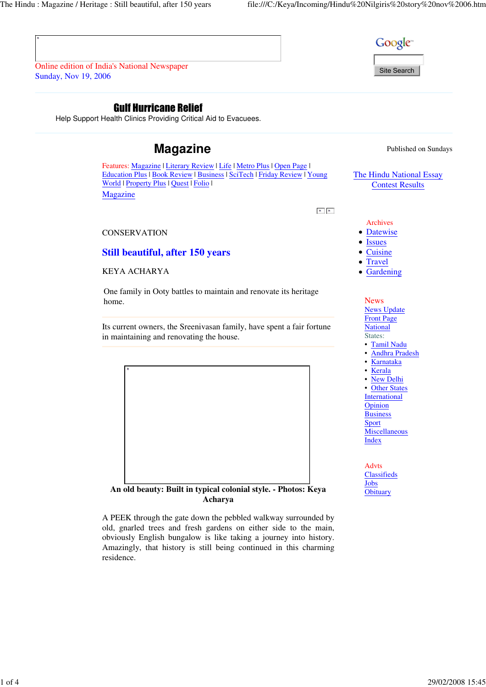

Site Search

Online edition of India's National Newspaper Sunday, Nov 19, 2006

## Gulf Hurricane Relief

Help Support Health Clinics Providing Critical Aid to Evacuees.

# **Magazine** Published on Sundays

Features: Magazine | Literary Review | Life | Metro Plus | Open Page | Education Plus | Book Review | Business | SciTech | Friday Review | Young World | Property Plus | Quest | Folio | Magazine

 $\mathbf{R}=\left[\begin{array}{cc} \mathbf{R}^{\top} \end{array}\right]$ 

**CONSERVATION** 

## **Still beautiful, after 150 years**

KEYA ACHARYA

One family in Ooty battles to maintain and renovate its heritage home.

Its current owners, the Sreenivasan family, have spent a fair fortune in maintaining and renovating the house.



**An old beauty: Built in typical colonial style. - Photos: Keya Acharya**

A PEEK through the gate down the pebbled walkway surrounded by old, gnarled trees and fresh gardens on either side to the main, obviously English bungalow is like taking a journey into history. Amazingly, that history is still being continued in this charming residence.

The Hindu National Essay Contest Results

Archives

- Datewise
- Issues
- Cuisine
- Travel
- Gardening

News News Update Front Page National States: • Tamil Nadu • Andhra Pradesh • Karnataka • Kerala • New Delhi • Other States International Opinion Business Sport **Miscellaneous** Index

Advts **Classifieds** Jobs **Obituary**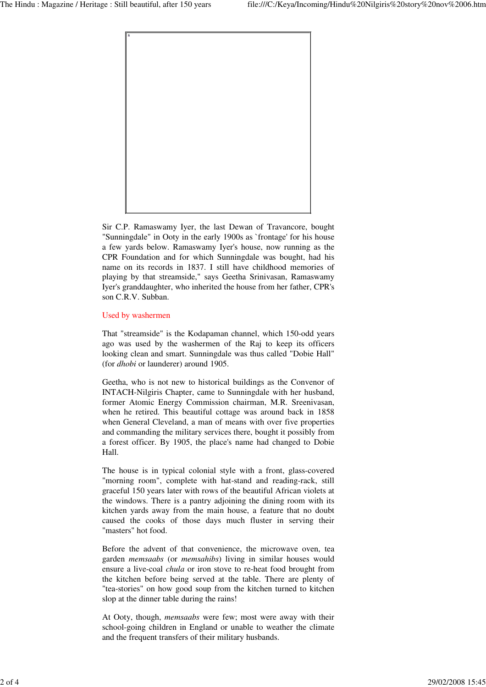

Sir C.P. Ramaswamy Iyer, the last Dewan of Travancore, bought "Sunningdale" in Ooty in the early 1900s as `frontage' for his house a few yards below. Ramaswamy Iyer's house, now running as the CPR Foundation and for which Sunningdale was bought, had his name on its records in 1837. I still have childhood memories of playing by that streamside," says Geetha Srinivasan, Ramaswamy Iyer's granddaughter, who inherited the house from her father, CPR's son C.R.V. Subban.

### Used by washermen

That "streamside" is the Kodapaman channel, which 150-odd years ago was used by the washermen of the Raj to keep its officers looking clean and smart. Sunningdale was thus called "Dobie Hall" (for *dhobi* or launderer) around 1905.

Geetha, who is not new to historical buildings as the Convenor of INTACH-Nilgiris Chapter, came to Sunningdale with her husband, former Atomic Energy Commission chairman, M.R. Sreenivasan, when he retired. This beautiful cottage was around back in 1858 when General Cleveland, a man of means with over five properties and commanding the military services there, bought it possibly from a forest officer. By 1905, the place's name had changed to Dobie Hall.

The house is in typical colonial style with a front, glass-covered "morning room", complete with hat-stand and reading-rack, still graceful 150 years later with rows of the beautiful African violets at the windows. There is a pantry adjoining the dining room with its kitchen yards away from the main house, a feature that no doubt caused the cooks of those days much fluster in serving their "masters" hot food.

Before the advent of that convenience, the microwave oven, tea garden *memsaabs* (or *memsahibs*) living in similar houses would ensure a live-coal *chula* or iron stove to re-heat food brought from the kitchen before being served at the table. There are plenty of "tea-stories" on how good soup from the kitchen turned to kitchen slop at the dinner table during the rains!

At Ooty, though, *memsaabs* were few; most were away with their school-going children in England or unable to weather the climate and the frequent transfers of their military husbands.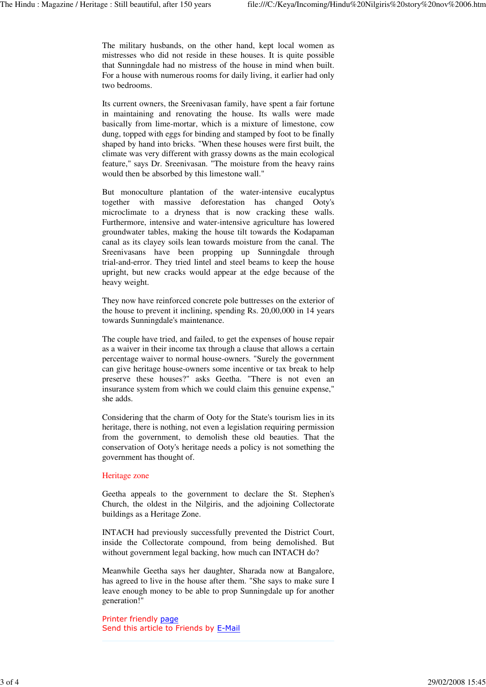The military husbands, on the other hand, kept local women as mistresses who did not reside in these houses. It is quite possible that Sunningdale had no mistress of the house in mind when built. For a house with numerous rooms for daily living, it earlier had only two bedrooms.

Its current owners, the Sreenivasan family, have spent a fair fortune in maintaining and renovating the house. Its walls were made basically from lime-mortar, which is a mixture of limestone, cow dung, topped with eggs for binding and stamped by foot to be finally shaped by hand into bricks. "When these houses were first built, the climate was very different with grassy downs as the main ecological feature," says Dr. Sreenivasan. "The moisture from the heavy rains would then be absorbed by this limestone wall."

But monoculture plantation of the water-intensive eucalyptus together with massive deforestation has changed Ooty's microclimate to a dryness that is now cracking these walls. Furthermore, intensive and water-intensive agriculture has lowered groundwater tables, making the house tilt towards the Kodapaman canal as its clayey soils lean towards moisture from the canal. The Sreenivasans have been propping up Sunningdale through trial-and-error. They tried lintel and steel beams to keep the house upright, but new cracks would appear at the edge because of the heavy weight.

They now have reinforced concrete pole buttresses on the exterior of the house to prevent it inclining, spending Rs. 20,00,000 in 14 years towards Sunningdale's maintenance.

The couple have tried, and failed, to get the expenses of house repair as a waiver in their income tax through a clause that allows a certain percentage waiver to normal house-owners. "Surely the government can give heritage house-owners some incentive or tax break to help preserve these houses?" asks Geetha. "There is not even an insurance system from which we could claim this genuine expense," she adds.

Considering that the charm of Ooty for the State's tourism lies in its heritage, there is nothing, not even a legislation requiring permission from the government, to demolish these old beauties. That the conservation of Ooty's heritage needs a policy is not something the government has thought of.

### Heritage zone

Geetha appeals to the government to declare the St. Stephen's Church, the oldest in the Nilgiris, and the adjoining Collectorate buildings as a Heritage Zone.

INTACH had previously successfully prevented the District Court, inside the Collectorate compound, from being demolished. But without government legal backing, how much can INTACH do?

Meanwhile Geetha says her daughter, Sharada now at Bangalore, has agreed to live in the house after them. "She says to make sure I leave enough money to be able to prop Sunningdale up for another generation!"

Printer friendly page Send this article to Friends by E-Mail